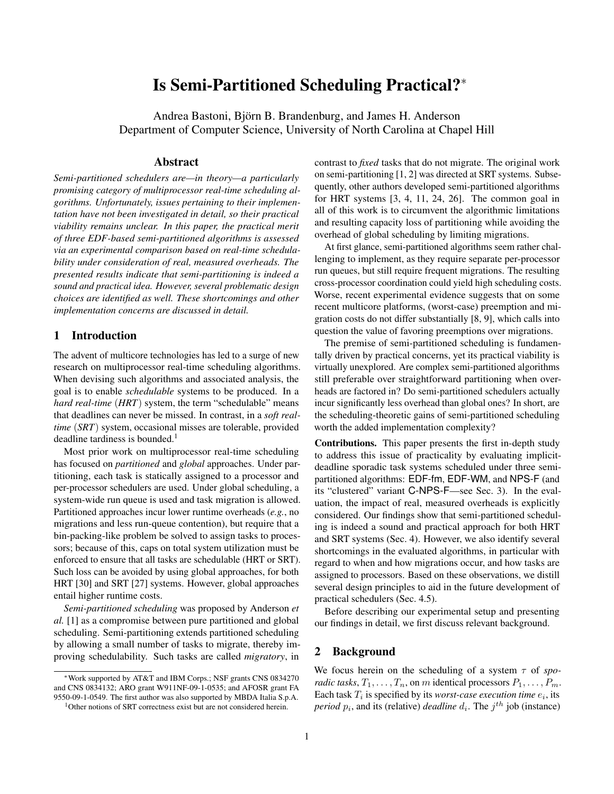# Is Semi-Partitioned Scheduling Practical?<sup>∗</sup>

Andrea Bastoni, Bjorn B. Brandenburg, and James H. Anderson ¨ Department of Computer Science, University of North Carolina at Chapel Hill

### Abstract

*Semi-partitioned schedulers are—in theory—a particularly promising category of multiprocessor real-time scheduling algorithms. Unfortunately, issues pertaining to their implementation have not been investigated in detail, so their practical viability remains unclear. In this paper, the practical merit of three EDF-based semi-partitioned algorithms is assessed via an experimental comparison based on real-time schedulability under consideration of real, measured overheads. The presented results indicate that semi-partitioning is indeed a sound and practical idea. However, several problematic design choices are identified as well. These shortcomings and other implementation concerns are discussed in detail.*

# 1 Introduction

The advent of multicore technologies has led to a surge of new research on multiprocessor real-time scheduling algorithms. When devising such algorithms and associated analysis, the goal is to enable *schedulable* systems to be produced. In a *hard real-time* (*HRT*) system, the term "schedulable" means that deadlines can never be missed. In contrast, in a *soft realtime* (*SRT*) system, occasional misses are tolerable, provided deadline tardiness is bounded.<sup>1</sup>

Most prior work on multiprocessor real-time scheduling has focused on *partitioned* and *global* approaches. Under partitioning, each task is statically assigned to a processor and per-processor schedulers are used. Under global scheduling, a system-wide run queue is used and task migration is allowed. Partitioned approaches incur lower runtime overheads (*e.g.*, no migrations and less run-queue contention), but require that a bin-packing-like problem be solved to assign tasks to processors; because of this, caps on total system utilization must be enforced to ensure that all tasks are schedulable (HRT or SRT). Such loss can be avoided by using global approaches, for both HRT [30] and SRT [27] systems. However, global approaches entail higher runtime costs.

*Semi-partitioned scheduling* was proposed by Anderson *et al.* [1] as a compromise between pure partitioned and global scheduling. Semi-partitioning extends partitioned scheduling by allowing a small number of tasks to migrate, thereby improving schedulability. Such tasks are called *migratory*, in

<sup>∗</sup>Work supported by AT&T and IBM Corps.; NSF grants CNS 0834270 and CNS 0834132; ARO grant W911NF-09-1-0535; and AFOSR grant FA 9550-09-1-0549. The first author was also supported by MBDA Italia S.p.A.

<sup>1</sup>Other notions of SRT correctness exist but are not considered herein.

contrast to *fixed* tasks that do not migrate. The original work on semi-partitioning [1, 2] was directed at SRT systems. Subsequently, other authors developed semi-partitioned algorithms for HRT systems [3, 4, 11, 24, 26]. The common goal in all of this work is to circumvent the algorithmic limitations and resulting capacity loss of partitioning while avoiding the overhead of global scheduling by limiting migrations.

At first glance, semi-partitioned algorithms seem rather challenging to implement, as they require separate per-processor run queues, but still require frequent migrations. The resulting cross-processor coordination could yield high scheduling costs. Worse, recent experimental evidence suggests that on some recent multicore platforms, (worst-case) preemption and migration costs do not differ substantially [8, 9], which calls into question the value of favoring preemptions over migrations.

The premise of semi-partitioned scheduling is fundamentally driven by practical concerns, yet its practical viability is virtually unexplored. Are complex semi-partitioned algorithms still preferable over straightforward partitioning when overheads are factored in? Do semi-partitioned schedulers actually incur significantly less overhead than global ones? In short, are the scheduling-theoretic gains of semi-partitioned scheduling worth the added implementation complexity?

Contributions. This paper presents the first in-depth study to address this issue of practicality by evaluating implicitdeadline sporadic task systems scheduled under three semipartitioned algorithms: EDF-fm, EDF-WM, and NPS-F (and its "clustered" variant C-NPS-F—see Sec. 3). In the evaluation, the impact of real, measured overheads is explicitly considered. Our findings show that semi-partitioned scheduling is indeed a sound and practical approach for both HRT and SRT systems (Sec. 4). However, we also identify several shortcomings in the evaluated algorithms, in particular with regard to when and how migrations occur, and how tasks are assigned to processors. Based on these observations, we distill several design principles to aid in the future development of practical schedulers (Sec. 4.5).

Before describing our experimental setup and presenting our findings in detail, we first discuss relevant background.

# 2 Background

We focus herein on the scheduling of a system τ of *sporadic tasks*,  $T_1, \ldots, T_n$ , on m identical processors  $P_1, \ldots, P_m$ . Each task  $T_i$  is specified by its *worst-case execution time*  $e_i$ , its *period*  $p_i$ , and its (relative) *deadline*  $d_i$ . The  $j<sup>th</sup>$  job (instance)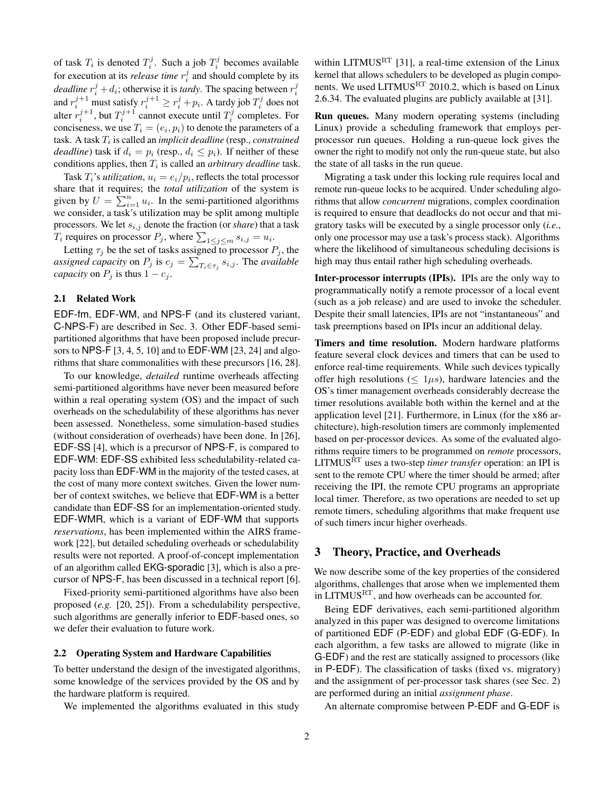of task  $T_i$  is denoted  $T_i^j$ . Such a job  $T_i^j$  becomes available for execution at its *release time*  $r_i^j$  and should complete by its *deadline*  $r_i^j + d_i$ ; otherwise it is *tardy*. The spacing between  $r_i^j$ and  $r_i^{j+1}$  must satisfy  $r_i^{j+1} \ge r_i^j + p_i$ . A tardy job  $T_i^j$  does not alter  $r_i^{j+1}$ , but  $T_i^{j+1}$  cannot execute until  $T_i^j$  completes. For conciseness, we use  $T_i = (e_i, p_i)$  to denote the parameters of a task. A task  $T_i$  is called an *implicit deadline* (resp., *constrained deadline*) task if  $d_i = p_i$  (resp.,  $d_i \leq p_i$ ). If neither of these conditions applies, then  $T_i$  is called an *arbitrary deadline* task.

Task  $T_i$ 's *utilization*,  $u_i = e_i/p_i$ , reflects the total processor share that it requires; the *total utilization* of the system is given by  $U = \sum_{i=1}^{n} u_i$ . In the semi-partitioned algorithms we consider, a task's utilization may be split among multiple processors. We let  $s_{i,j}$  denote the fraction (or *share*) that a task  $T_i$  requires on processor  $P_j$ , where  $\sum_{1 \leq j \leq m} s_{i,j} = u_i$ .

Letting  $\tau_j$  be the set of tasks assigned to processor  $P_j$ , the *assigned capacity* on  $P_j$  is  $c_j = \sum_{T_i \in \tau_j} s_{i,j}$ . The *available capacity* on  $P_j$  is thus  $1 - c_j$ .

#### 2.1 Related Work

EDF-fm, EDF-WM, and NPS-F (and its clustered variant, C-NPS-F) are described in Sec. 3. Other EDF-based semipartitioned algorithms that have been proposed include precursors to NPS-F [3, 4, 5, 10] and to EDF-WM [23, 24] and algorithms that share commonalities with these precursors [16, 28].

To our knowledge, *detailed* runtime overheads affecting semi-partitioned algorithms have never been measured before within a real operating system (OS) and the impact of such overheads on the schedulability of these algorithms has never been assessed. Nonetheless, some simulation-based studies (without consideration of overheads) have been done. In [26], EDF-SS [4], which is a precursor of NPS-F, is compared to EDF-WM: EDF-SS exhibited less schedulability-related capacity loss than EDF-WM in the majority of the tested cases, at the cost of many more context switches. Given the lower number of context switches, we believe that EDF-WM is a better candidate than EDF-SS for an implementation-oriented study. EDF-WMR, which is a variant of EDF-WM that supports *reservations*, has been implemented within the AIRS framework [22], but detailed scheduling overheads or schedulability results were not reported. A proof-of-concept implementation of an algorithm called EKG-sporadic [3], which is also a precursor of NPS-F, has been discussed in a technical report [6].

Fixed-priority semi-partitioned algorithms have also been proposed (*e.g.* [20, 25]). From a schedulability perspective, such algorithms are generally inferior to EDF-based ones, so we defer their evaluation to future work.

#### 2.2 Operating System and Hardware Capabilities

To better understand the design of the investigated algorithms, some knowledge of the services provided by the OS and by the hardware platform is required.

We implemented the algorithms evaluated in this study

within LITMUS<sup>RT</sup> [31], a real-time extension of the Linux kernel that allows schedulers to be developed as plugin components. We used  $LITMUS<sup>RT</sup>$  2010.2, which is based on Linux 2.6.34. The evaluated plugins are publicly available at [31].

**Run queues.** Many modern operating systems (including Linux) provide a scheduling framework that employs perprocessor run queues. Holding a run-queue lock gives the owner the right to modify not only the run-queue state, but also the state of all tasks in the run queue.

Migrating a task under this locking rule requires local and remote run-queue locks to be acquired. Under scheduling algorithms that allow *concurrent* migrations, complex coordination is required to ensure that deadlocks do not occur and that migratory tasks will be executed by a single processor only (*i.e.*, only one processor may use a task's process stack). Algorithms where the likelihood of simultaneous scheduling decisions is high may thus entail rather high scheduling overheads.

Inter-processor interrupts (IPIs). IPIs are the only way to programmatically notify a remote processor of a local event (such as a job release) and are used to invoke the scheduler. Despite their small latencies, IPIs are not "instantaneous" and task preemptions based on IPIs incur an additional delay.

Timers and time resolution. Modern hardware platforms feature several clock devices and timers that can be used to enforce real-time requirements. While such devices typically offer high resolutions ( $\leq 1\mu s$ ), hardware latencies and the OS's timer management overheads considerably decrease the timer resolutions available both within the kernel and at the application level [21]. Furthermore, in Linux (for the x86 architecture), high-resolution timers are commonly implemented based on per-processor devices. As some of the evaluated algorithms require timers to be programmed on *remote* processors, LITMUS<sup>RT</sup> uses a two-step *timer transfer* operation: an IPI is sent to the remote CPU where the timer should be armed; after receiving the IPI, the remote CPU programs an appropriate local timer. Therefore, as two operations are needed to set up remote timers, scheduling algorithms that make frequent use of such timers incur higher overheads.

## 3 Theory, Practice, and Overheads

We now describe some of the key properties of the considered algorithms, challenges that arose when we implemented them in LITMUSRT, and how overheads can be accounted for.

Being EDF derivatives, each semi-partitioned algorithm analyzed in this paper was designed to overcome limitations of partitioned EDF (P-EDF) and global EDF (G-EDF). In each algorithm, a few tasks are allowed to migrate (like in G-EDF) and the rest are statically assigned to processors (like in P-EDF). The classification of tasks (fixed vs. migratory) and the assignment of per-processor task shares (see Sec. 2) are performed during an initial *assignment phase*.

An alternate compromise between P-EDF and G-EDF is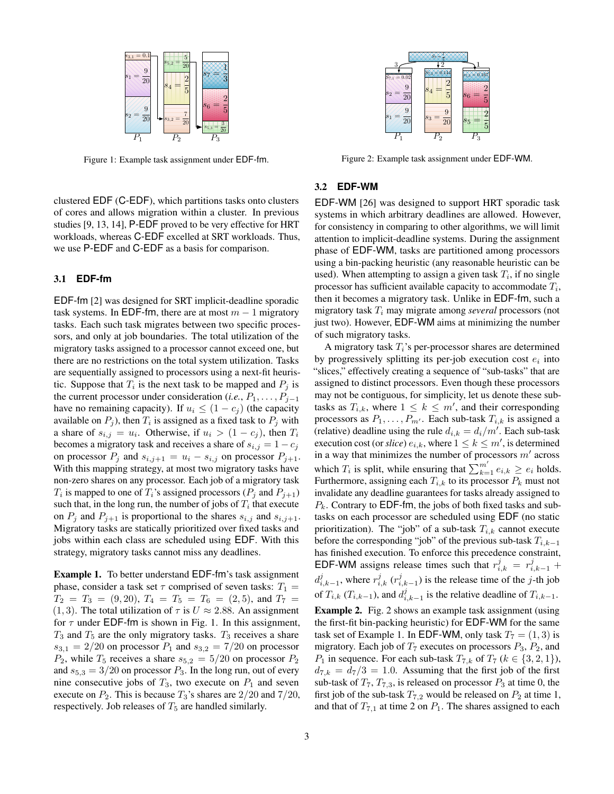

Figure 1: Example task assignment under EDF-fm.

clustered EDF (C-EDF), which partitions tasks onto clusters of cores and allows migration within a cluster. In previous studies [9, 13, 14], P-EDF proved to be very effective for HRT workloads, whereas C-EDF excelled at SRT workloads. Thus, we use P-EDF and C-EDF as a basis for comparison.

#### 3.1 **EDF-fm**

EDF-fm [2] was designed for SRT implicit-deadline sporadic task systems. In EDF-fm, there are at most  $m - 1$  migratory tasks. Each such task migrates between two specific processors, and only at job boundaries. The total utilization of the migratory tasks assigned to a processor cannot exceed one, but there are no restrictions on the total system utilization. Tasks are sequentially assigned to processors using a next-fit heuristic. Suppose that  $T_i$  is the next task to be mapped and  $P_j$  is the current processor under consideration (*i.e.*,  $P_1, \ldots, P_{j-1}$ have no remaining capacity). If  $u_i \leq (1 - c_i)$  (the capacity available on  $P_j$ ), then  $T_i$  is assigned as a fixed task to  $P_j$  with a share of  $s_{i,j} = u_i$ . Otherwise, if  $u_i > (1 - c_j)$ , then  $T_i$ becomes a migratory task and receives a share of  $s_{i,j} = 1 - c_j$ on processor  $P_i$  and  $s_{i,j+1} = u_i - s_{i,j}$  on processor  $P_{j+1}$ . With this mapping strategy, at most two migratory tasks have non-zero shares on any processor. Each job of a migratory task  $T_i$  is mapped to one of  $T_i$ 's assigned processors ( $P_j$  and  $P_{j+1}$ ) such that, in the long run, the number of jobs of  $T_i$  that execute on  $P_j$  and  $P_{j+1}$  is proportional to the shares  $s_{i,j}$  and  $s_{i,j+1}$ . Migratory tasks are statically prioritized over fixed tasks and jobs within each class are scheduled using EDF. With this strategy, migratory tasks cannot miss any deadlines. **Example 18**<br>
Figure 1: Isomple us as a signator under EDF-fm,<br>
Figure 1: Isomple us as assignment under EDF-fm,<br>
Figure 1: Isomple us as assignment under EDF-fm,<br>
Figure 1: Isomple us as assignment under EDF-fm,<br>
13. **ED** 

Example 1. To better understand EDF-fm's task assignment phase, consider a task set  $\tau$  comprised of seven tasks:  $T_1$  =  $T_2 = T_3 = (9, 20), T_4 = T_5 = T_6 = (2, 5),$  and  $T_7 =$ (1, 3). The total utilization of  $\tau$  is  $U \approx 2.88$ . An assignment for  $\tau$  under EDF-fm is shown in Fig. 1. In this assignment,  $T_3$  and  $T_5$  are the only migratory tasks.  $T_3$  receives a share  $s_{3,1} = 2/20$  on processor  $P_1$  and  $s_{3,2} = 7/20$  on processor  $P_2$ , while  $T_5$  receives a share  $s_{5,2} = 5/20$  on processor  $P_2$ and  $s_{5,3} = 3/20$  on processor  $P_3$ . In the long run, out of every nine consecutive jobs of  $T_3$ , two execute on  $P_1$  and seven execute on  $P_2$ . This is because  $T_3$ 's shares are  $2/20$  and  $7/20$ ,



Figure 2: Example task assignment under EDF-WM.

# 3.2 **EDF-WM**

EDF-WM [26] was designed to support HRT sporadic task systems in which arbitrary deadlines are allowed. However, for consistency in comparing to other algorithms, we will limit attention to implicit-deadline systems. During the assignment phase of EDF-WM, tasks are partitioned among processors using a bin-packing heuristic (any reasonable heuristic can be used). When attempting to assign a given task  $T_i$ , if no single processor has sufficient available capacity to accommodate  $T_i$ , then it becomes a migratory task. Unlike in EDF-fm, such a migratory task  $T_i$  may migrate among *several* processors (not just two). However, EDF-WM aims at minimizing the number of such migratory tasks.

A migratory task  $T_i$ 's per-processor shares are determined by progressively splitting its per-job execution cost  $e_i$  into "slices," effectively creating a sequence of "sub-tasks" that are assigned to distinct processors. Even though these processors may not be contiguous, for simplicity, let us denote these subtasks as  $T_{i,k}$ , where  $1 \leq k \leq m'$ , and their corresponding processors as  $P_1, \ldots, P_{m'}$ . Each sub-task  $T_{i,k}$  is assigned a (relative) deadline using the rule  $d_{i,k} = d_i/m'$ . Each sub-task execution cost (or *slice*)  $e_{i,k}$ , where  $1 \leq k \leq m'$ , is determined in a way that minimizes the number of processors  $m'$  across which  $T_i$  is split, while ensuring that  $\sum_{k=1}^{m'} e_{i,k} \ge e_i$  holds. Furthermore, assigning each  $T_{i,k}$  to its processor  $P_k$  must not invalidate any deadline guarantees for tasks already assigned to  $P_k$ . Contrary to EDF-fm, the jobs of both fixed tasks and subtasks on each processor are scheduled using EDF (no static prioritization). The "job" of a sub-task  $T_{i,k}$  cannot execute before the corresponding "job" of the previous sub-task  $T_{i,k-1}$ has finished execution. To enforce this precedence constraint, EDF-WM assigns release times such that  $r_{i,k}^j = r_{i,k-1}^j +$  $d_{i,k-1}^j$ , where  $r_{i,k}^j$   $(r_{i,k-1}^j)$  is the release time of the j-th job of  $T_{i,k}$  ( $T_{i,k-1}$ ), and  $d_{i,k-1}^j$  is the relative deadline of  $T_{i,k-1}$ . Example 2. Fig. 2 shows an example task assignment (using the first-fit bin-packing heuristic) for EDF-WM for the same task set of Example 1. In EDF-WM, only task  $T_7 = (1, 3)$  is migratory. Each job of  $T_7$  executes on processors  $P_3$ ,  $P_2$ , and  $P_1$  in sequence. For each sub-task  $T_{7,k}$  of  $T_7$  ( $k \in \{3,2,1\}$ ),  $d_{7,k} = d_7/3 = 1.0$ . Assuming that the first job of the first sub-task of  $T_7$ ,  $T_{7,3}$ , is released on processor  $P_3$  at time 0, the first job of the sub-task  $T_{7,2}$  would be released on  $P_2$  at time 1, and that of  $T_{7,1}$  at time 2 on  $P_1$ . The shares assigned to each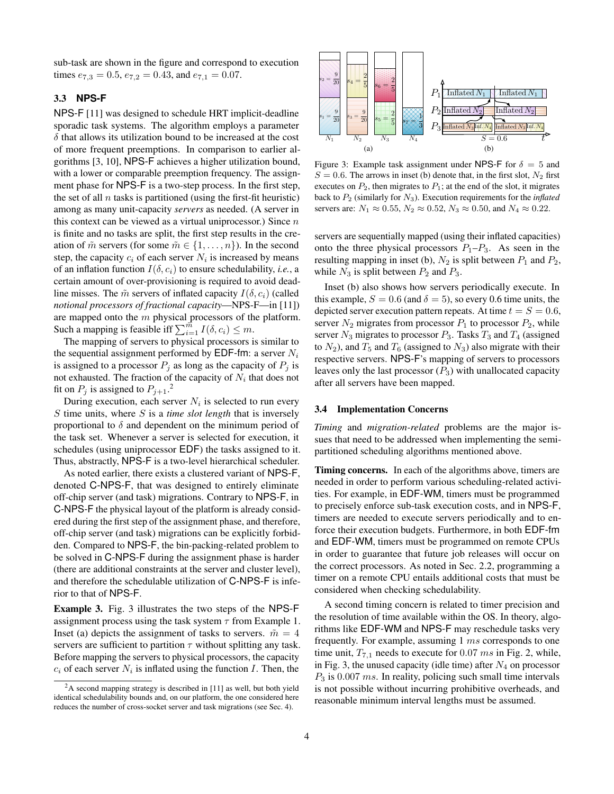sub-task are shown in the figure and correspond to execution times  $e_{7,3} = 0.5$ ,  $e_{7,2} = 0.43$ , and  $e_{7,1} = 0.07$ .

# 3.3 **NPS-F**

NPS-F [11] was designed to schedule HRT implicit-deadline sporadic task systems. The algorithm employs a parameter  $\delta$  that allows its utilization bound to be increased at the cost of more frequent preemptions. In comparison to earlier algorithms [3, 10], NPS-F achieves a higher utilization bound, with a lower or comparable preemption frequency. The assignment phase for NPS-F is a two-step process. In the first step, the set of all  $n$  tasks is partitioned (using the first-fit heuristic) among as many unit-capacity *servers* as needed. (A server in this context can be viewed as a virtual uniprocessor.) Since  $n$ is finite and no tasks are split, the first step results in the creation of  $\tilde{m}$  servers (for some  $\tilde{m} \in \{1, \ldots, n\}$ ). In the second step, the capacity  $c_i$  of each server  $N_i$  is increased by means of an inflation function  $I(\delta, c_i)$  to ensure schedulability, *i.e.*, a certain amount of over-provisioning is required to avoid deadline misses. The  $\tilde{m}$  servers of inflated capacity  $I(\delta, c_i)$  (called *notional processors of fractional capacity*—NPS-F—in [11]) are mapped onto the  $m$  physical processors of the platform. Such a mapping is feasible iff  $\sum_{i=1}^{\widehat{m}} I(\delta, c_i) \leq m$ .

The mapping of servers to physical processors is similar to the sequential assignment performed by EDF-fm: a server  $N_i$ is assigned to a processor  $P_j$  as long as the capacity of  $P_j$  is not exhausted. The fraction of the capacity of  $N_i$  that does not fit on  $P_j$  is assigned to  $P_{j+1}$ <sup>2</sup>.

During execution, each server  $N_i$  is selected to run every S time units, where S is a *time slot length* that is inversely proportional to  $\delta$  and dependent on the minimum period of the task set. Whenever a server is selected for execution, it schedules (using uniprocessor EDF) the tasks assigned to it. Thus, abstractly, NPS-F is a two-level hierarchical scheduler.

As noted earlier, there exists a clustered variant of NPS-F, denoted C-NPS-F, that was designed to entirely eliminate off-chip server (and task) migrations. Contrary to NPS-F, in C-NPS-F the physical layout of the platform is already considered during the first step of the assignment phase, and therefore, off-chip server (and task) migrations can be explicitly forbidden. Compared to NPS-F, the bin-packing-related problem to be solved in C-NPS-F during the assignment phase is harder (there are additional constraints at the server and cluster level), and therefore the schedulable utilization of C-NPS-F is inferior to that of NPS-F.

Example 3. Fig. 3 illustrates the two steps of the NPS-F assignment process using the task system  $\tau$  from Example 1. Inset (a) depicts the assignment of tasks to servers.  $\tilde{m} = 4$ servers are sufficient to partition  $\tau$  without splitting any task. Before mapping the servers to physical processors, the capacity  $c_i$  of each server  $N_i$  is inflated using the function I. Then, the



Figure 3: Example task assignment under NPS-F for  $\delta = 5$  and  $S = 0.6$ . The arrows in inset (b) denote that, in the first slot,  $N_2$  first executes on  $P_2$ , then migrates to  $P_1$ ; at the end of the slot, it migrates back to P<sup>2</sup> (similarly for N3). Execution requirements for the *inflated* servers are:  $N_1 \approx 0.55, N_2 \approx 0.52, N_3 \approx 0.50$ , and  $N_4 \approx 0.22$ .

servers are sequentially mapped (using their inflated capacities) onto the three physical processors  $P_1-P_3$ . As seen in the resulting mapping in inset (b),  $N_2$  is split between  $P_1$  and  $P_2$ , while  $N_3$  is split between  $P_2$  and  $P_3$ .

Inset (b) also shows how servers periodically execute. In this example,  $S = 0.6$  (and  $\delta = 5$ ), so every 0.6 time units, the depicted server execution pattern repeats. At time  $t = S = 0.6$ , server  $N_2$  migrates from processor  $P_1$  to processor  $P_2$ , while server  $N_3$  migrates to processor  $P_3$ . Tasks  $T_3$  and  $T_4$  (assigned to  $N_2$ ), and  $T_5$  and  $T_6$  (assigned to  $N_3$ ) also migrate with their respective servers. NPS-F's mapping of servers to processors leaves only the last processor  $(P_3)$  with unallocated capacity after all servers have been mapped.

#### 3.4 Implementation Concerns

*Timing* and *migration-related* problems are the major issues that need to be addressed when implementing the semipartitioned scheduling algorithms mentioned above.

Timing concerns. In each of the algorithms above, timers are needed in order to perform various scheduling-related activities. For example, in EDF-WM, timers must be programmed to precisely enforce sub-task execution costs, and in NPS-F, timers are needed to execute servers periodically and to enforce their execution budgets. Furthermore, in both EDF-fm and EDF-WM, timers must be programmed on remote CPUs in order to guarantee that future job releases will occur on the correct processors. As noted in Sec. 2.2, programming a timer on a remote CPU entails additional costs that must be considered when checking schedulability.

A second timing concern is related to timer precision and the resolution of time available within the OS. In theory, algorithms like EDF-WM and NPS-F may reschedule tasks very frequently. For example, assuming 1 ms corresponds to one time unit,  $T_{7,1}$  needs to execute for 0.07 ms in Fig. 2, while, in Fig. 3, the unused capacity (idle time) after  $N_4$  on processor  $P_3$  is 0.007 ms. In reality, policing such small time intervals is not possible without incurring prohibitive overheads, and reasonable minimum interval lengths must be assumed.

<sup>2</sup>A second mapping strategy is described in [11] as well, but both yield identical schedulability bounds and, on our platform, the one considered here reduces the number of cross-socket server and task migrations (see Sec. 4).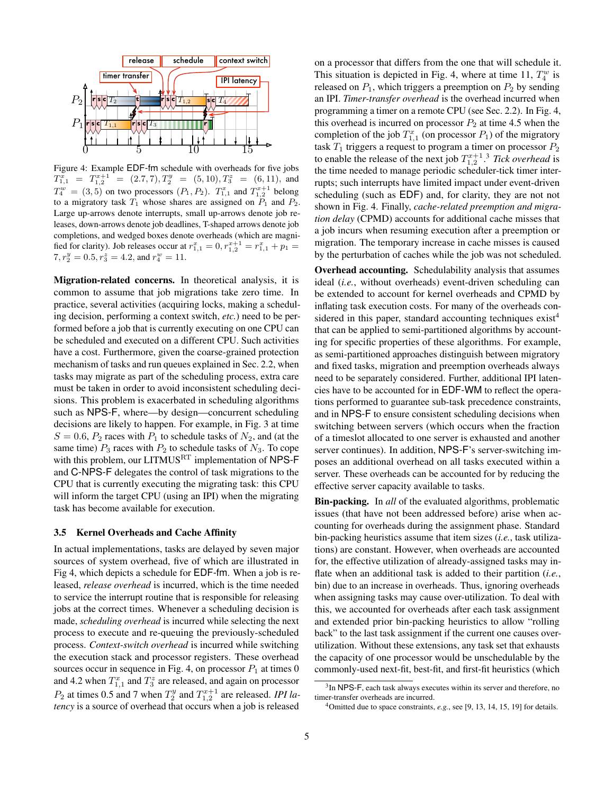

Figure 4: Example EDF-fm schedule with overheads for five jobs  $T_{1,1}^x = T_{1,2}^{x+1} = (2.7,7), T_2^y = (5,10), T_3^z = (6,11),$  and  $T_4^w = (3, 5)$  on two processors  $(P_1, P_2)$ .  $T_{1,1}^x$  and  $T_{1,2}^{x+1}$  belong to a migratory task  $T_1$  whose shares are assigned on  $P_1$  and  $P_2$ . Large up-arrows denote interrupts, small up-arrows denote job releases, down-arrows denote job deadlines, T-shaped arrows denote job completions, and wedged boxes denote overheads (which are magnified for clarity). Job releases occur at  $r_{1,1}^x = 0, r_{1,2}^{x+1} = r_{1,1}^x + p_1 =$  $7, r_2^y = 0.5, r_3^z = 4.2,$  and  $r_4^w = 11$ .

Migration-related concerns. In theoretical analysis, it is common to assume that job migrations take zero time. In practice, several activities (acquiring locks, making a scheduling decision, performing a context switch, *etc.*) need to be performed before a job that is currently executing on one CPU can be scheduled and executed on a different CPU. Such activities have a cost. Furthermore, given the coarse-grained protection mechanism of tasks and run queues explained in Sec. 2.2, when tasks may migrate as part of the scheduling process, extra care must be taken in order to avoid inconsistent scheduling decisions. This problem is exacerbated in scheduling algorithms such as NPS-F, where—by design—concurrent scheduling decisions are likely to happen. For example, in Fig. 3 at time  $S = 0.6$ ,  $P_2$  races with  $P_1$  to schedule tasks of  $N_2$ , and (at the same time)  $P_3$  races with  $P_2$  to schedule tasks of  $N_3$ . To cope with this problem, our  $LITMUS<sup>RT</sup>$  implementation of NPS-F and C-NPS-F delegates the control of task migrations to the CPU that is currently executing the migrating task: this CPU will inform the target CPU (using an IPI) when the migrating task has become available for execution.

#### 3.5 Kernel Overheads and Cache Affinity

In actual implementations, tasks are delayed by seven major sources of system overhead, five of which are illustrated in Fig 4, which depicts a schedule for EDF-fm. When a job is released, *release overhead* is incurred, which is the time needed to service the interrupt routine that is responsible for releasing jobs at the correct times. Whenever a scheduling decision is made, *scheduling overhead* is incurred while selecting the next process to execute and re-queuing the previously-scheduled process. *Context-switch overhead* is incurred while switching the execution stack and processor registers. These overhead sources occur in sequence in Fig. 4, on processor  $P_1$  at times 0 and 4.2 when  $T_{1,1}^x$  and  $T_3^z$  are released, and again on processor  $P_2$  at times 0.5 and 7 when  $T_2^y$  and  $T_{1,2}^{x+1}$  are released. *IPI latency* is a source of overhead that occurs when a job is released

on a processor that differs from the one that will schedule it. This situation is depicted in Fig. 4, where at time 11,  $T_4^w$  is released on  $P_1$ , which triggers a preemption on  $P_2$  by sending an IPI. *Timer-transfer overhead* is the overhead incurred when programming a timer on a remote CPU (see Sec. 2.2). In Fig. 4, this overhead is incurred on processor  $P_2$  at time 4.5 when the completion of the job  $T_{1,1}^x$  (on processor  $P_1$ ) of the migratory task  $T_1$  triggers a request to program a timer on processor  $P_2$ to enable the release of the next job  $T_{1,2}^{x+1}$ .<sup>3</sup> *Tick overhead* is the time needed to manage periodic scheduler-tick timer interrupts; such interrupts have limited impact under event-driven scheduling (such as EDF) and, for clarity, they are not not shown in Fig. 4. Finally, *cache-related preemption and migration delay* (CPMD) accounts for additional cache misses that a job incurs when resuming execution after a preemption or migration. The temporary increase in cache misses is caused by the perturbation of caches while the job was not scheduled.

Overhead accounting. Schedulability analysis that assumes ideal (*i.e.*, without overheads) event-driven scheduling can be extended to account for kernel overheads and CPMD by inflating task execution costs. For many of the overheads considered in this paper, standard accounting techniques  $exist^4$ that can be applied to semi-partitioned algorithms by accounting for specific properties of these algorithms. For example, as semi-partitioned approaches distinguish between migratory and fixed tasks, migration and preemption overheads always need to be separately considered. Further, additional IPI latencies have to be accounted for in EDF-WM to reflect the operations performed to guarantee sub-task precedence constraints, and in NPS-F to ensure consistent scheduling decisions when switching between servers (which occurs when the fraction of a timeslot allocated to one server is exhausted and another server continues). In addition, NPS-F's server-switching imposes an additional overhead on all tasks executed within a server. These overheads can be accounted for by reducing the effective server capacity available to tasks.

Bin-packing. In *all* of the evaluated algorithms, problematic issues (that have not been addressed before) arise when accounting for overheads during the assignment phase. Standard bin-packing heuristics assume that item sizes (*i.e.*, task utilizations) are constant. However, when overheads are accounted for, the effective utilization of already-assigned tasks may inflate when an additional task is added to their partition (*i.e.*, bin) due to an increase in overheads. Thus, ignoring overheads when assigning tasks may cause over-utilization. To deal with this, we accounted for overheads after each task assignment and extended prior bin-packing heuristics to allow "rolling back" to the last task assignment if the current one causes overutilization. Without these extensions, any task set that exhausts the capacity of one processor would be unschedulable by the commonly-used next-fit, best-fit, and first-fit heuristics (which

<sup>&</sup>lt;sup>3</sup>In NPS-F, each task always executes within its server and therefore, no timer-transfer overheads are incurred.

<sup>4</sup>Omitted due to space constraints, *e.g.*, see [9, 13, 14, 15, 19] for details.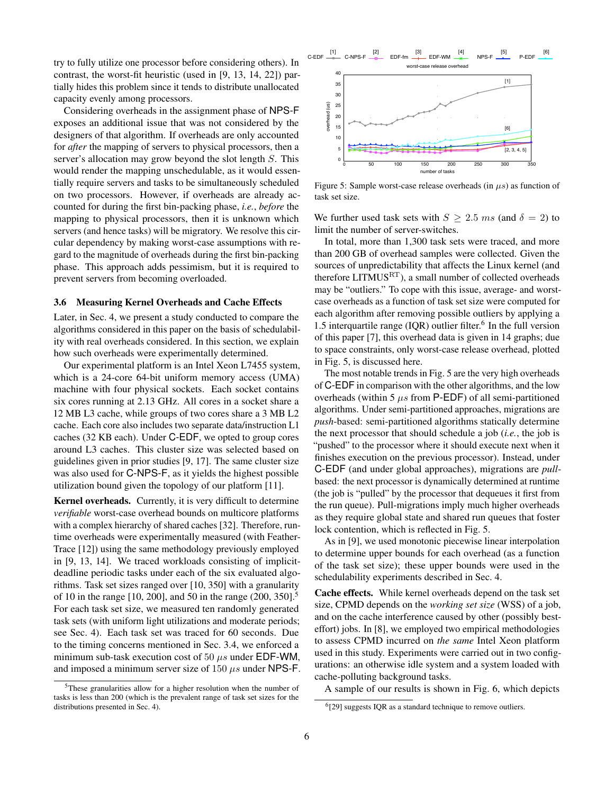try to fully utilize one processor before considering others). In contrast, the worst-fit heuristic (used in [9, 13, 14, 22]) partially hides this problem since it tends to distribute unallocated capacity evenly among processors.

Considering overheads in the assignment phase of NPS-F exposes an additional issue that was not considered by the designers of that algorithm. If overheads are only accounted for *after* the mapping of servers to physical processors, then a server's allocation may grow beyond the slot length S. This would render the mapping unschedulable, as it would essentially require servers and tasks to be simultaneously scheduled on two processors. However, if overheads are already accounted for during the first bin-packing phase, *i.e.*, *before* the mapping to physical processors, then it is unknown which servers (and hence tasks) will be migratory. We resolve this circular dependency by making worst-case assumptions with regard to the magnitude of overheads during the first bin-packing phase. This approach adds pessimism, but it is required to prevent servers from becoming overloaded.

#### 3.6 Measuring Kernel Overheads and Cache Effects

Later, in Sec. 4, we present a study conducted to compare the algorithms considered in this paper on the basis of schedulability with real overheads considered. In this section, we explain how such overheads were experimentally determined.

Our experimental platform is an Intel Xeon L7455 system, which is a 24-core 64-bit uniform memory access (UMA) machine with four physical sockets. Each socket contains six cores running at 2.13 GHz. All cores in a socket share a 12 MB L3 cache, while groups of two cores share a 3 MB L2 cache. Each core also includes two separate data/instruction L1 caches (32 KB each). Under C-EDF, we opted to group cores around L3 caches. This cluster size was selected based on guidelines given in prior studies [9, 17]. The same cluster size was also used for C-NPS-F, as it yields the highest possible utilization bound given the topology of our platform [11].

Kernel overheads. Currently, it is very difficult to determine *verifiable* worst-case overhead bounds on multicore platforms with a complex hierarchy of shared caches [32]. Therefore, runtime overheads were experimentally measured (with Feather-Trace [12]) using the same methodology previously employed in [9, 13, 14]. We traced workloads consisting of implicitdeadline periodic tasks under each of the six evaluated algorithms. Task set sizes ranged over [10, 350] with a granularity of 10 in the range [10, 200], and 50 in the range  $(200, 350]$ .<sup>5</sup> For each task set size, we measured ten randomly generated task sets (with uniform light utilizations and moderate periods; see Sec. 4). Each task set was traced for 60 seconds. Due to the timing concerns mentioned in Sec. 3.4, we enforced a minimum sub-task execution cost of 50  $\mu s$  under EDF-WM, and imposed a minimum server size of 150  $\mu s$  under NPS-F.



Figure 5: Sample worst-case release overheads (in  $\mu s$ ) as function of task set size.

We further used task sets with  $S \geq 2.5$  ms (and  $\delta = 2$ ) to limit the number of server-switches.

In total, more than 1,300 task sets were traced, and more than 200 GB of overhead samples were collected. Given the sources of unpredictability that affects the Linux kernel (and therefore LITMUS<sup>RT</sup>), a small number of collected overheads may be "outliers." To cope with this issue, average- and worstcase overheads as a function of task set size were computed for each algorithm after removing possible outliers by applying a 1.5 interquartile range (IQR) outlier filter. $6$  In the full version of this paper [7], this overhead data is given in 14 graphs; due to space constraints, only worst-case release overhead, plotted in Fig. 5, is discussed here.

The most notable trends in Fig. 5 are the very high overheads of C-EDF in comparison with the other algorithms, and the low overheads (within 5  $\mu s$  from P-EDF) of all semi-partitioned algorithms. Under semi-partitioned approaches, migrations are *push*-based: semi-partitioned algorithms statically determine the next processor that should schedule a job (*i.e.*, the job is "pushed" to the processor where it should execute next when it finishes execution on the previous processor). Instead, under C-EDF (and under global approaches), migrations are *pull*based: the next processor is dynamically determined at runtime (the job is "pulled" by the processor that dequeues it first from the run queue). Pull-migrations imply much higher overheads as they require global state and shared run queues that foster lock contention, which is reflected in Fig. 5.

As in [9], we used monotonic piecewise linear interpolation to determine upper bounds for each overhead (as a function of the task set size); these upper bounds were used in the schedulability experiments described in Sec. 4.

Cache effects. While kernel overheads depend on the task set size, CPMD depends on the *working set size* (WSS) of a job, and on the cache interference caused by other (possibly besteffort) jobs. In [8], we employed two empirical methodologies to assess CPMD incurred on *the same* Intel Xeon platform used in this study. Experiments were carried out in two configurations: an otherwise idle system and a system loaded with cache-polluting background tasks.

A sample of our results is shown in Fig. 6, which depicts

<sup>5</sup>These granularities allow for a higher resolution when the number of tasks is less than 200 (which is the prevalent range of task set sizes for the distributions presented in Sec. 4).

<sup>&</sup>lt;sup>6</sup>[29] suggests IQR as a standard technique to remove outliers.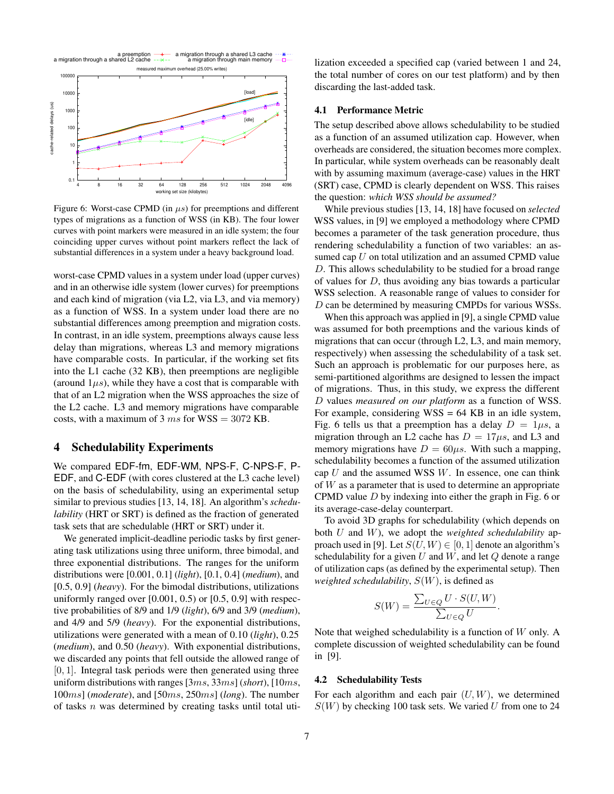

Figure 6: Worst-case CPMD (in  $\mu s$ ) for preemptions and different types of migrations as a function of WSS (in KB). The four lower curves with point markers were measured in an idle system; the four coinciding upper curves without point markers reflect the lack of substantial differences in a system under a heavy background load.

worst-case CPMD values in a system under load (upper curves) and in an otherwise idle system (lower curves) for preemptions and each kind of migration (via L2, via L3, and via memory) as a function of WSS. In a system under load there are no substantial differences among preemption and migration costs. In contrast, in an idle system, preemptions always cause less delay than migrations, whereas L3 and memory migrations have comparable costs. In particular, if the working set fits into the L1 cache (32 KB), then preemptions are negligible (around  $1\mu s$ ), while they have a cost that is comparable with that of an L2 migration when the WSS approaches the size of the L2 cache. L3 and memory migrations have comparable costs, with a maximum of 3 ms for  $WSS = 3072$  KB.

#### 4 Schedulability Experiments

We compared EDF-fm, EDF-WM, NPS-F, C-NPS-F, P-EDF, and C-EDF (with cores clustered at the L3 cache level) on the basis of schedulability, using an experimental setup similar to previous studies [13, 14, 18]. An algorithm's *schedulability* (HRT or SRT) is defined as the fraction of generated task sets that are schedulable (HRT or SRT) under it.

We generated implicit-deadline periodic tasks by first generating task utilizations using three uniform, three bimodal, and three exponential distributions. The ranges for the uniform distributions were [0.001, 0.1] (*light*), [0.1, 0.4] (*medium*), and [0.5, 0.9] (*heavy*). For the bimodal distributions, utilizations uniformly ranged over  $[0.001, 0.5)$  or  $[0.5, 0.9]$  with respective probabilities of 8/9 and 1/9 (*light*), 6/9 and 3/9 (*medium*), and 4/9 and 5/9 (*heavy*). For the exponential distributions, utilizations were generated with a mean of 0.10 (*light*), 0.25 (*medium*), and 0.50 (*heavy*). With exponential distributions, we discarded any points that fell outside the allowed range of  $[0, 1]$ . Integral task periods were then generated using three uniform distributions with ranges [3ms, 33ms] (*short*), [10ms, 100ms] (*moderate*), and [50ms, 250ms] (*long*). The number of tasks  $n$  was determined by creating tasks until total utilization exceeded a specified cap (varied between 1 and 24, the total number of cores on our test platform) and by then discarding the last-added task.

#### 4.1 Performance Metric

The setup described above allows schedulability to be studied as a function of an assumed utilization cap. However, when overheads are considered, the situation becomes more complex. In particular, while system overheads can be reasonably dealt with by assuming maximum (average-case) values in the HRT (SRT) case, CPMD is clearly dependent on WSS. This raises the question: *which WSS should be assumed?*

While previous studies [13, 14, 18] have focused on *selected* WSS values, in [9] we employed a methodology where CPMD becomes a parameter of the task generation procedure, thus rendering schedulability a function of two variables: an assumed cap  $U$  on total utilization and an assumed CPMD value D. This allows schedulability to be studied for a broad range of values for D, thus avoiding any bias towards a particular WSS selection. A reasonable range of values to consider for D can be determined by measuring CMPDs for various WSSs.

When this approach was applied in [9], a single CPMD value was assumed for both preemptions and the various kinds of migrations that can occur (through L2, L3, and main memory, respectively) when assessing the schedulability of a task set. Such an approach is problematic for our purposes here, as semi-partitioned algorithms are designed to lessen the impact of migrations. Thus, in this study, we express the different D values *measured on our platform* as a function of WSS. For example, considering  $WSS = 64$  KB in an idle system, Fig. 6 tells us that a preemption has a delay  $D = 1\mu s$ , a migration through an L2 cache has  $D = 17 \mu s$ , and L3 and memory migrations have  $D = 60 \mu s$ . With such a mapping, schedulability becomes a function of the assumed utilization cap  $U$  and the assumed WSS  $W$ . In essence, one can think of  $W$  as a parameter that is used to determine an appropriate CPMD value  $D$  by indexing into either the graph in Fig. 6 or its average-case-delay counterpart.

To avoid 3D graphs for schedulability (which depends on both U and W), we adopt the *weighted schedulability* approach used in [9]. Let  $S(U, W) \in [0, 1]$  denote an algorithm's schedulability for a given  $U$  and  $W$ , and let  $Q$  denote a range of utilization caps (as defined by the experimental setup). Then *weighted schedulability*, S(W), is defined as

$$
S(W) = \frac{\sum_{U \in Q} U \cdot S(U, W)}{\sum_{U \in Q} U}
$$

.

Note that weighed schedulability is a function of  $W$  only. A complete discussion of weighted schedulability can be found in [9].

#### 4.2 Schedulability Tests

For each algorithm and each pair  $(U, W)$ , we determined  $S(W)$  by checking 100 task sets. We varied U from one to 24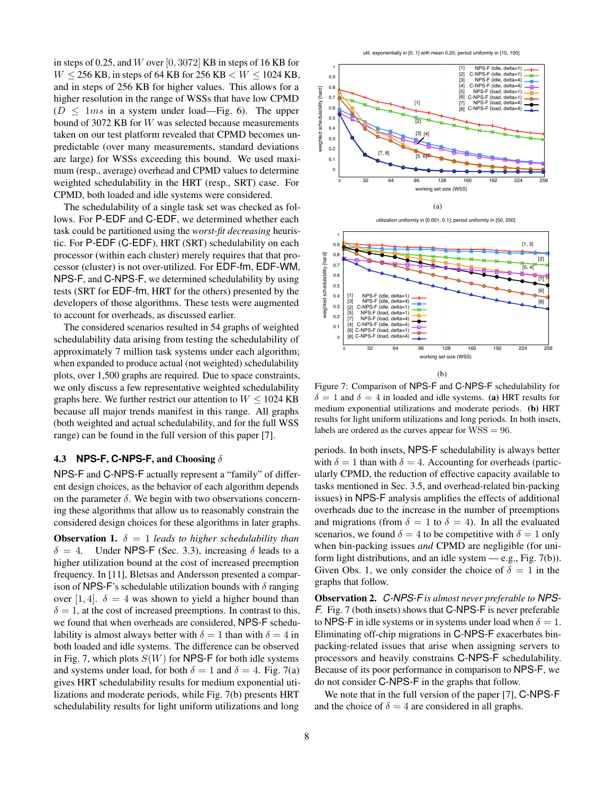in steps of 0.25, and W over  $[0, 3072]$  KB in steps of 16 KB for  $W \le 256$  KB, in steps of 64 KB for 256 KB  $\lt W \le 1024$  KB, and in steps of 256 KB for higher values. This allows for a higher resolution in the range of WSSs that have low CPMD  $(D \leq 1ms$  in a system under load—Fig. 6). The upper bound of 3072 KB for W was selected because measurements taken on our test platform revealed that CPMD becomes unpredictable (over many measurements, standard deviations are large) for WSSs exceeding this bound. We used maximum (resp., average) overhead and CPMD values to determine weighted schedulability in the HRT (resp., SRT) case. For CPMD, both loaded and idle systems were considered.

The schedulability of a single task set was checked as follows. For P-EDF and C-EDF, we determined whether each task could be partitioned using the *worst-fit decreasing* heuristic. For P-EDF (C-EDF), HRT (SRT) schedulability on each processor (within each cluster) merely requires that that processor (cluster) is not over-utilized. For EDF-fm, EDF-WM, NPS-F, and C-NPS-F, we determined schedulability by using tests (SRT for EDF-fm, HRT for the others) presented by the developers of those algorithms. These tests were augmented to account for overheads, as discussed earlier.

The considered scenarios resulted in 54 graphs of weighted schedulability data arising from testing the schedulability of approximately 7 million task systems under each algorithm; when expanded to produce actual (not weighted) schedulability plots, over 1,500 graphs are required. Due to space constraints, we only discuss a few representative weighted schedulability graphs here. We further restrict our attention to  $W \le 1024$  KB because all major trends manifest in this range. All graphs (both weighted and actual schedulability, and for the full WSS range) can be found in the full version of this paper [7].

#### 4.3 **NPS-F**, **C-NPS-F**, and Choosing δ

NPS-F and C-NPS-F actually represent a "family" of different design choices, as the behavior of each algorithm depends on the parameter  $\delta$ . We begin with two observations concerning these algorithms that allow us to reasonably constrain the considered design choices for these algorithms in later graphs.

**Observation 1.**  $\delta = 1$  *leads to higher schedulability than*  $\delta = 4$ . Under NPS-F (Sec. 3.3), increasing  $\delta$  leads to a higher utilization bound at the cost of increased preemption frequency. In [11], Bletsas and Andersson presented a comparison of NPS-F's schedulable utilization bounds with  $\delta$  ranging over [1, 4].  $\delta = 4$  was shown to yield a higher bound than  $\delta = 1$ , at the cost of increased preemptions. In contrast to this, we found that when overheads are considered, NPS-F schedulability is almost always better with  $\delta = 1$  than with  $\delta = 4$  in both loaded and idle systems. The difference can be observed in Fig. 7, which plots  $S(W)$  for NPS-F for both idle systems and systems under load, for both  $\delta = 1$  and  $\delta = 4$ . Fig. 7(a) gives HRT schedulability results for medium exponential utilizations and moderate periods, while Fig. 7(b) presents HRT schedulability results for light uniform utilizations and long





(a)





Figure 7: Comparison of NPS-F and C-NPS-F schedulability for  $\delta = 1$  and  $\delta = 4$  in loaded and idle systems. (a) HRT results for medium exponential utilizations and moderate periods. (b) HRT results for light uniform utilizations and long periods. In both insets,

labels are ordered as the curves appear for  $WSS = 96$ .

periods. In both insets, NPS-F schedulability is always better with  $\delta = 1$  than with  $\delta = 4$ . Accounting for overheads (particularly CPMD, the reduction of effective capacity available to tasks mentioned in Sec. 3.5, and overhead-related bin-packing issues) in NPS-F analysis amplifies the effects of additional overheads due to the increase in the number of preemptions and migrations (from  $\delta = 1$  to  $\delta = 4$ ). In all the evaluated scenarios, we found  $\delta = 4$  to be competitive with  $\delta = 1$  only when bin-packing issues *and* CPMD are negligible (for uniform light distributions, and an idle system — e.g., Fig. 7(b)). Given Obs. 1, we only consider the choice of  $\delta = 1$  in the graphs that follow.

Observation 2. *C-NPS-F is almost never preferable to NPS-F.* Fig. 7 (both insets) shows that C-NPS-F is never preferable to NPS-F in idle systems or in systems under load when  $\delta = 1$ . Eliminating off-chip migrations in C-NPS-F exacerbates binpacking-related issues that arise when assigning servers to processors and heavily constrains C-NPS-F schedulability. Because of its poor performance in comparison to NPS-F, we do not consider C-NPS-F in the graphs that follow.

We note that in the full version of the paper [7], C-NPS-F and the choice of  $\delta = 4$  are considered in all graphs.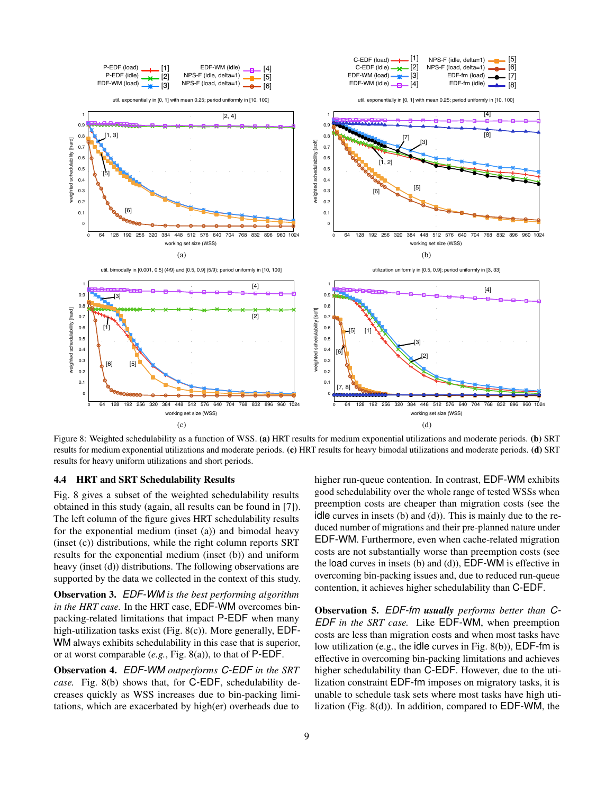

Figure 8: Weighted schedulability as a function of WSS. (a) HRT results for medium exponential utilizations and moderate periods. (b) SRT results for medium exponential utilizations and moderate periods. (c) HRT results for heavy bimodal utilizations and moderate periods. (d) SRT results for heavy uniform utilizations and short periods.

# 4.4 HRT and SRT Schedulability Results

Fig. 8 gives a subset of the weighted schedulability results obtained in this study (again, all results can be found in [7]). The left column of the figure gives HRT schedulability results for the exponential medium (inset (a)) and bimodal heavy (inset (c)) distributions, while the right column reports SRT results for the exponential medium (inset (b)) and uniform heavy (inset (d)) distributions. The following observations are supported by the data we collected in the context of this study.

Observation 3. *EDF-WM is the best performing algorithm in the HRT case.* In the HRT case, EDF-WM overcomes binpacking-related limitations that impact P-EDF when many high-utilization tasks exist (Fig. 8(c)). More generally, EDF-WM always exhibits schedulability in this case that is superior, or at worst comparable (*e.g.*, Fig. 8(a)), to that of P-EDF.

Observation 4. *EDF-WM outperforms C-EDF in the SRT case.* Fig. 8(b) shows that, for C-EDF, schedulability decreases quickly as WSS increases due to bin-packing limitations, which are exacerbated by high(er) overheads due to

higher run-queue contention. In contrast, EDF-WM exhibits good schedulability over the whole range of tested WSSs when preemption costs are cheaper than migration costs (see the idle curves in insets (b) and (d)). This is mainly due to the reduced number of migrations and their pre-planned nature under EDF-WM. Furthermore, even when cache-related migration costs are not substantially worse than preemption costs (see the load curves in insets (b) and (d)), EDF-WM is effective in overcoming bin-packing issues and, due to reduced run-queue contention, it achieves higher schedulability than C-EDF.

Observation 5. *EDF-fm usually performs better than C-EDF in the SRT case.* Like EDF-WM, when preemption costs are less than migration costs and when most tasks have low utilization (e.g., the idle curves in Fig. 8(b)), EDF-fm is effective in overcoming bin-packing limitations and achieves higher schedulability than C-EDF. However, due to the utilization constraint EDF-fm imposes on migratory tasks, it is unable to schedule task sets where most tasks have high utilization (Fig. 8(d)). In addition, compared to EDF-WM, the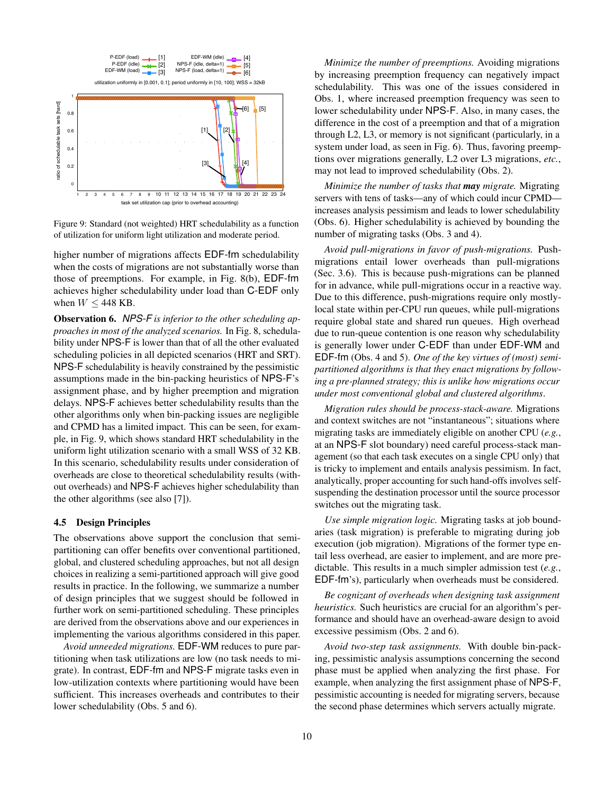

Figure 9: Standard (not weighted) HRT schedulability as a function of utilization for uniform light utilization and moderate period.

higher number of migrations affects EDF-fm schedulability when the costs of migrations are not substantially worse than those of preemptions. For example, in Fig. 8(b), EDF-fm achieves higher schedulability under load than C-EDF only when  $W \leq 448$  KB.

Observation 6. *NPS-F is inferior to the other scheduling approaches in most of the analyzed scenarios.* In Fig. 8, schedulability under NPS-F is lower than that of all the other evaluated scheduling policies in all depicted scenarios (HRT and SRT). NPS-F schedulability is heavily constrained by the pessimistic assumptions made in the bin-packing heuristics of NPS-F's assignment phase, and by higher preemption and migration delays. NPS-F achieves better schedulability results than the other algorithms only when bin-packing issues are negligible and CPMD has a limited impact. This can be seen, for example, in Fig. 9, which shows standard HRT schedulability in the uniform light utilization scenario with a small WSS of 32 KB. In this scenario, schedulability results under consideration of overheads are close to theoretical schedulability results (without overheads) and NPS-F achieves higher schedulability than the other algorithms (see also [7]).

#### 4.5 Design Principles

The observations above support the conclusion that semipartitioning can offer benefits over conventional partitioned, global, and clustered scheduling approaches, but not all design choices in realizing a semi-partitioned approach will give good results in practice. In the following, we summarize a number of design principles that we suggest should be followed in further work on semi-partitioned scheduling. These principles are derived from the observations above and our experiences in implementing the various algorithms considered in this paper.

*Avoid unneeded migrations.* EDF-WM reduces to pure partitioning when task utilizations are low (no task needs to migrate). In contrast, EDF-fm and NPS-F migrate tasks even in low-utilization contexts where partitioning would have been sufficient. This increases overheads and contributes to their lower schedulability (Obs. 5 and 6).

*Minimize the number of preemptions.* Avoiding migrations by increasing preemption frequency can negatively impact schedulability. This was one of the issues considered in Obs. 1, where increased preemption frequency was seen to lower schedulability under NPS-F. Also, in many cases, the difference in the cost of a preemption and that of a migration through L2, L3, or memory is not significant (particularly, in a system under load, as seen in Fig. 6). Thus, favoring preemptions over migrations generally, L2 over L3 migrations, *etc.*, may not lead to improved schedulability (Obs. 2).

*Minimize the number of tasks that may migrate.* Migrating servers with tens of tasks—any of which could incur CPMD increases analysis pessimism and leads to lower schedulability (Obs. 6). Higher schedulability is achieved by bounding the number of migrating tasks (Obs. 3 and 4).

*Avoid pull-migrations in favor of push-migrations.* Pushmigrations entail lower overheads than pull-migrations (Sec. 3.6). This is because push-migrations can be planned for in advance, while pull-migrations occur in a reactive way. Due to this difference, push-migrations require only mostlylocal state within per-CPU run queues, while pull-migrations require global state and shared run queues. High overhead due to run-queue contention is one reason why schedulability is generally lower under C-EDF than under EDF-WM and EDF-fm (Obs. 4 and 5). *One of the key virtues of (most) semipartitioned algorithms is that they enact migrations by following a pre-planned strategy; this is unlike how migrations occur under most conventional global and clustered algorithms*.

*Migration rules should be process-stack-aware.* Migrations and context switches are not "instantaneous"; situations where migrating tasks are immediately eligible on another CPU (*e.g.*, at an NPS-F slot boundary) need careful process-stack management (so that each task executes on a single CPU only) that is tricky to implement and entails analysis pessimism. In fact, analytically, proper accounting for such hand-offs involves selfsuspending the destination processor until the source processor switches out the migrating task.

*Use simple migration logic.* Migrating tasks at job boundaries (task migration) is preferable to migrating during job execution (job migration). Migrations of the former type entail less overhead, are easier to implement, and are more predictable. This results in a much simpler admission test (*e.g.*, EDF-fm's), particularly when overheads must be considered.

*Be cognizant of overheads when designing task assignment heuristics.* Such heuristics are crucial for an algorithm's performance and should have an overhead-aware design to avoid excessive pessimism (Obs. 2 and 6).

*Avoid two-step task assignments.* With double bin-packing, pessimistic analysis assumptions concerning the second phase must be applied when analyzing the first phase. For example, when analyzing the first assignment phase of NPS-F, pessimistic accounting is needed for migrating servers, because the second phase determines which servers actually migrate.